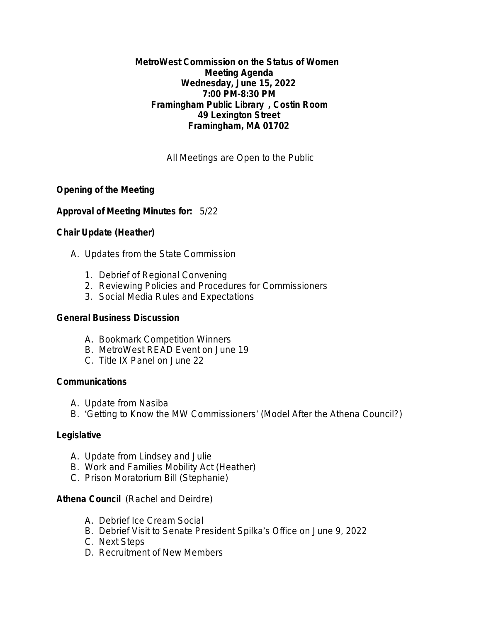### **MetroWest Commission on the Status of Women Meeting Agenda Wednesday, June 15, 2022 7:00 PM-8:30 PM Framingham Public Library , Costin Room 49 Lexington Street Framingham, MA 01702**

*All Meetings are Open to the Public*

# **Opening of the Meeting**

## **Approval of Meeting Minutes for:** 5/22

# **Chair Update (Heather)**

- A. Updates from the State Commission
	- 1. Debrief of Regional Convening
	- 2. Reviewing Policies and Procedures for Commissioners
	- 3. Social Media Rules and Expectations

## **General Business Discussion**

- A. Bookmark Competition Winners
- B. MetroWest READ Event on June 19
- C. Title IX Panel on June 22

## **Communications**

- A. Update from Nasiba
- B. 'Getting to Know the MW Commissioners' (Model After the Athena Council?)

## **Legislative**

- A. Update from Lindsey and Julie
- B. Work and Families Mobility Act (Heather)
- C. Prison Moratorium Bill (Stephanie)

# **Athena Council** (Rachel and Deirdre)

- A. Debrief Ice Cream Social
- B. Debrief Visit to Senate President Spilka's Office on June 9, 2022
- C. Next Steps
- D. Recruitment of New Members